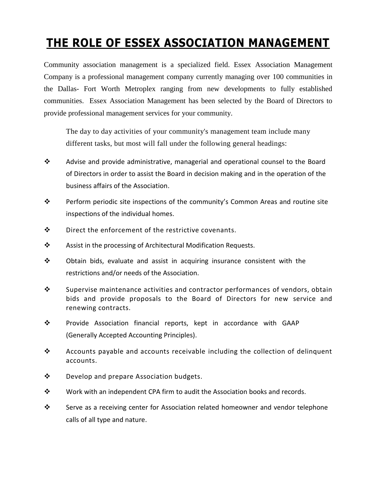## **THE ROLE OF ESSEX ASSOCIATION MANAGEMENT**

Community association management is a specialized field. Essex Association Management Company is a professional management company currently managing over 100 communities in the Dallas- Fort Worth Metroplex ranging from new developments to fully established communities. Essex Association Management has been selected by the Board of Directors to provide professional management services for your community.

The day to day activities of your community's management team include many different tasks, but most will fall under the following general headings:

- Advise and provide administrative, managerial and operational counsel to the Board of Directors in order to assist the Board in decision making and in the operation of the business affairs of the Association.
- $\mathbf{\hat{P}}$  Perform periodic site inspections of the community's Common Areas and routine site inspections of the individual homes.
- $\mathbf{\hat{P}}$  Direct the enforcement of the restrictive covenants.
- Assist in the processing of Architectural Modification Requests.
- \* Obtain bids, evaluate and assist in acquiring insurance consistent with the restrictions and/or needs of the Association.
- $\mathbf{\hat{P}}$  Supervise maintenance activities and contractor performances of vendors, obtain bids and provide proposals to the Board of Directors for new service and renewing contracts.
- Provide Association financial reports, kept in accordance with GAAP (Generally Accepted Accounting Principles).
- $\mathbf{\hat{P}}$  Accounts payable and accounts receivable including the collection of delinquent accounts.
- $\mathbf{\hat{P}}$  Develop and prepare Association budgets.
- Work with an independent CPA firm to audit the Association books and records.
- Serve as a receiving center for Association related homeowner and vendor telephone calls of all type and nature.